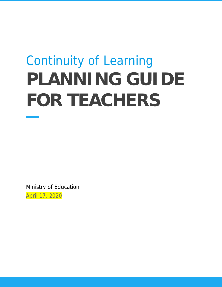# Continuity of Learning **PLANNING GUIDE FOR TEACHERS**

Ministry of Education April 17, 2020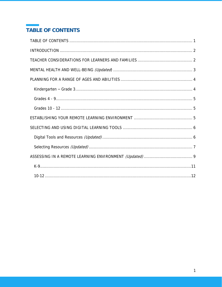# <span id="page-1-0"></span>TABLE OF CONTENTS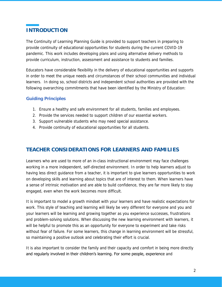# <span id="page-2-0"></span>**INTRODUCTION**

The Continuity of Learning Planning Guide is provided to support teachers in preparing to provide continuity of educational opportunities for students during the current COVID-19 pandemic. This work includes developing plans and using alternative delivery methods to provide curriculum, instruction, assessment and assistance to students and families.

Educators have considerable flexibility in the delivery of educational opportunities and supports in order to meet the unique needs and circumstances of their school communities and individual learners. In doing so, school districts and independent school authorities are provided with the following overarching commitments that have been identified by the Ministry of Education:

#### **Guiding Principles**

- 1. Ensure a healthy and safe environment for all students, families and employees.
- 2. Provide the services needed to support children of our essential workers.
- 3. Support vulnerable students who may need special assistance.
- 4. Provide continuity of educational opportunities for all students.

## <span id="page-2-1"></span>**TEACHER CONSIDERATIONS FOR LEARNERS AND FAMILIES**

Learners who are used to more of an in-class instructional environment may face challenges working in a more independent, self-directed environment. In order to help learners adjust to having less direct guidance from a teacher, it is important to give learners opportunities to work on developing skills and learning about topics that are of interest to them. When learners have a sense of intrinsic motivation and are able to build confidence, they are far more likely to stay engaged, even when the work becomes more difficult.

It is important to model a growth mindset with your learners and have realistic expectations for work. This style of teaching and learning will likely be very different for everyone and you and your learners will be learning and growing together as you experience successes, frustrations and problem-solving solutions. When discussing the new learning environment with learners, it will be helpful to promote this as an opportunity for everyone to experiment and take risks without fear of failure. For some learners, this change in learning environment will be stressful, so maintaining a positive outlook and celebrating their effort is crucial.

It is also important to consider the family and their capacity and comfort in being more directly and regularly involved in their children's learning. For some people, experience and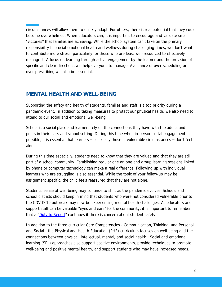circumstances will allow them to quickly adapt. For others, there is real potential that they could become overwhelmed. When educators can, it is important to encourage and validate small "victories" that families are achieving. While the school system can't take on the primary responsibility for social-emotional health and wellness during challenging times, we don't want to contribute more stress, particularly for those who are least well-resourced to effectively manage it. A focus on learning through active engagement by the learner and the provision of specific and clear directions will help everyone to manage. Avoidance of over-scheduling or over-prescribing will also be essential.

### <span id="page-3-0"></span>**MENTAL HEALTH AND WELL-BEING**

Supporting the safety and health of students, families and staff is a top priority during a pandemic event. In addition to taking measures to protect our physical health, we also need to attend to our social and emotional well-being.

School is a social place and learners rely on the connections they have with the adults and peers in their class and school setting. During this time when in-**person social engagement isn't** possible, it is essential that learners – especially those in vulnerable circumstances – **don't feel** alone.

During this time especially, students need to know that they are valued and that they are still part of a school community. Establishing regular one on one and group learning sessions linked by phone or computer technology can make a real difference. Following up with individual learners who are struggling is also essential. While the topic of your follow-up may be assignment specific, the child feels reassured that they are not alone.

**Students' sense of well-being may continue to shift as the pandemic evolves. Schools and** school districts should keep in mind that students who were not considered vulnerable prior to the COVID-19 outbreak may now be experiencing mental health challenges. As educators and support staff can be valuable "eyes and ears" for the community, it is important to remember that a " $Duty$  to Report" continues if there is concern about student safety.

In addition to the three curricular Core Competencies - Communication, Thinking, and Personal and Social - the Physical and Health Education (PHE) curriculum focuses on well-being and the connections between physical, intellectual, mental, and social health. Social and emotional learning (SEL) approaches also support positive environments, provide techniques to promote well-being and positive mental health, and support students who may have increased needs.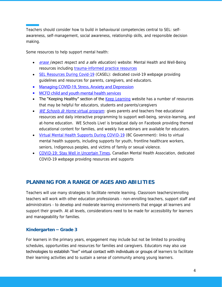Teachers should consider how to build in behavioural competencies central to SEL: selfawareness, self-management, social awareness, relationship skills, and responsible decision making.

Some resources to help support mental health:

- *[erase](https://www2.gov.bc.ca/gov/content/erase/mental-health) (expect respect and a safe education)* website: Mental Health and Well-Being resources including [trauma-informed practice resources](https://mytrainingbc.ca/traumainformedpractice/)
- [SEL Resources During Covid-19](https://casel.org/covid-resources/) (CASEL): dedicated covid-19 webpage providing guidelines and resources for parents, caregivers, and educators.
- Managing COVID-19, Stress, Anxiety and Depression
- MCFD child and youth mental health services
- The "Keeping Healthy" section of the [Keep Learning](https://www.openschool.bc.ca/keeplearning/) website has a number of resources that may be helpful for educators, students and parents/caregivers
- *WE Schools @ Home [virtual program:](https://www.we.org/en-CA/our-work/we-schools/at-home/) gives parents and teachers free educational* resources and daily interactive programming to support well-being, service-learning, and at-home education. WE Schools Live! is broadcast daily on Facebook providing themed educational content for families, and weekly live webinars are available for educators.
- [Virtual Mental Health Supports During COVID-19](https://www2.gov.bc.ca/gov/content/health/managing-your-health/mental-health-substance-use/virtual-supports-covid-19) (BC Government): links to virtual mental health supports, including supports for youth, frontline healthcare workers, seniors, Indigenous peoples, and victims of family or sexual violence.
- [COVID-19: Stay Well in Uncertain Times,](https://cmha.bc.ca/covid-19/) Canadian Mental Health Association, dedicated COVID-19 webpage providing resources and supports

## <span id="page-4-0"></span>**PLANNING FOR A RANGE OF AGES AND ABILITIES**

Teachers will use many strategies to facilitate remote learning. Classroom teachers/enrolling teachers will work with other education professionals - non-enrolling teachers, support staff and administrators - to develop and moderate learning environments that engage all learners and support their growth. At all levels, considerations need to be made for accessibility for learners and manageability for families.

#### <span id="page-4-1"></span>**Kindergarten – Grade 3**

For learners in the primary years, engagement may include but not be limited to providing schedules, opportunities and resources for families and caregivers. Educators may also use technologies to establish "live" virtual contact with individuals or groups of learners to facilitate their learning activities and to sustain a sense of community among young learners.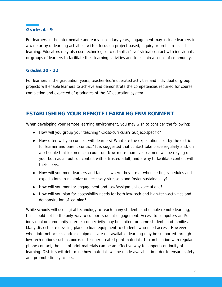#### <span id="page-5-0"></span>**Grades 4 - 9**

For learners in the intermediate and early secondary years, engagement may include learners in a wide array of learning activities, with a focus on project-based, inquiry or problem-based learning. Educators may also use technologies to establish "live" virtual contact with individuals or groups of learners to facilitate their learning activities and to sustain a sense of community.

#### <span id="page-5-1"></span>**Grades 10 - 12**

For learners in the graduation years, teacher-led/moderated activities and individual or group projects will enable learners to achieve and demonstrate the competencies required for course completion and expected of graduates of the BC education system.

## <span id="page-5-2"></span>**ESTABLISHING YOUR REMOTE LEARNING ENVIRONMENT**

When developing your remote learning environment, you may wish to consider the following:

- How will you group your teaching? Cross-curricular? Subject-specific?
- How often will you connect with learners? What are the expectations set by the district for learner and parent contact? It is suggested that contact take place regularly and, on a schedule that learners can count on. Now more than ever learners will be relying on you, both as an outside contact with a trusted adult, and a way to facilitate contact with their peers.
- How will you meet learners and families where they are at when setting schedules and expectations to minimize unnecessary stressors and foster sustainability?
- How will you monitor engagement and task/assignment expectations?
- How will you plan for accessibility needs for both low-tech and high-tech-activities and demonstration of learning?

While schools will use digital technology to reach many students and enable remote learning, this should not be the only way to support student engagement. Access to computers and/or individual or community internet connectivity may be limited for some students and families. Many districts are devising plans to loan equipment to students who need access. However, when internet access and/or equipment are not available, learning may be supported through low-tech options such as books or teacher-created print materials. In combination with regular phone contact, the use of print materials can be an effective way to support continuity of learning. Districts will determine how materials will be made available, in order to ensure safety and promote timely access.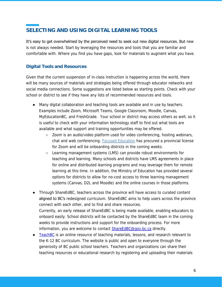# <span id="page-6-0"></span>**SELECTING AND USING DIGITAL LEARNING TOOLS**

It's easy to get overwhelmed by the perceived need to seek out new digital resources. But new is not always needed. Start by leveraging the resources and tools that you are familiar and comfortable with. Where you find you have gaps, look for materials to augment what you have.

#### <span id="page-6-1"></span>**Digital Tools and Resources**

Given that the current suspension of in-class instruction is happening across the world, there will be many sources of materials and strategies being offered through educator networks and social media connections. Some suggestions are listed below as starting points. Check with your school or district to see if they have any lists of recommended resources and tools.

- Many digital collaboration and teaching tools are available and in use by teachers. Examples include Zoom, Microsoft Teams, Google Classroom, Moodle, Canvas, MyEducationBC, and FreshGrade. Your school or district may access others as well, so it is useful to check with your information technology staff to find out what tools are available and what support and training opportunities may be offered.
	- Zoom is an audio/video platform used for video conferencing, hosting webinars, chat and web conferencing. [Focused Education](http://focusedresources.ca/) has procured a provincial license for Zoom and will be onboarding districts in the coming weeks.
	- Learning management systems (LMS) can provide robust environments for teaching and learning. Many schools and districts have LMS agreements in place for online and distributed learning programs and may leverage them for remote learning at this time. In addition, the Ministry of Education has provided several options for districts to allow for no-cost access to three learning management systems (Canvas, D2L and Moodle) and the online courses in those platforms.
- Through ShareEdBC, teachers across the province will have access to curated content **aligned to BC's** redesigned curriculum. ShareEdBC aims to help users across the province connect with each other, and to find and share resources. Currently, an early release of ShareEdBC is being made available, enabling educators to onboard easily. School districts will be contacted by the ShareEdBC team in the coming weeks to provide instructions and support for the onboarding process. For more information, you are welcome to contact [ShareEdBC@gov.bc.ca](mailto:ShareEdBC@gov.bc.ca) directly.
- [TeachBC](https://teachbc.bctf.ca/) is an online resource of teaching materials, lessons, and research relevant to the K-12 BC curriculum. The website is public and open to everyone through the generosity of BC public school teachers. Teachers and organizations can share their teaching resources or educational research by registering and uploading their materials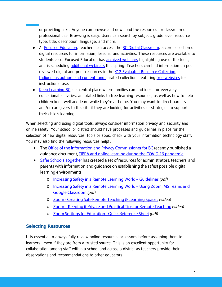or providing links. Anyone can browse and download the resources for classroom or professional use. Browsing is easy. Users can search by subject, grade level, resource type, title, description, language, and more.

- At [Focused Education,](http://focusedresources.ca/) teachers can access the [BC Digital Classroom,](https://focusedresources.ca/bcdc-access/) a core collection of digital resources for information, lessons, and activities. These resources are available to students also. Focused Education has **archived webinars** highlighting use of the tools, and is scheduling [additional webinars](https://focusedresources.ca/webinars/) this spring. Teachers can find information on peer-reviewed digital and print resources in the [K12 Evaluated Resource Collection,](https://k12.bcerac.ca/) [Indigenous authors and content,](https://k12.bcerac.ca/?Curated=aboriginal) and curated collections featuring [free websites](https://k12.bcerac.ca/?Curated=website) for instructional use.
- [Keep Learning BC](file:///C:/Users/jriddel%201%202/Documents/Projects/Covid-19/Framework/3%20draft%20for%20DM%20review/openschool.bc.ca/keeplearning) is a central place where families can find ideas for everyday educational activities, annotated links to free learning resources, as well as how to help children keep well and learn while they're at home. You may want to direct parents and/or caregivers to this site if they are looking for activities or strategies to support their child's learning.

When selecting and using digital tools, always consider information privacy and security and online safety. Your school or district should have processes and guidelines in place for the selection of new digital resources, tools or apps; check with your information technology staff. You may also find the following resources helpful.

- The Office of the Information and Privacy Commissioner for BC recently published a guidance document, FIPPA and online learning during the COVID-19 pandemic.
- <span id="page-7-0"></span>• Safer Schools Together has created a set of resources for administrators, teachers, and parents with information and guidance on establishing the safest possible digital learning environments.
	- o Increasing Safety in a Remote Learning World Guidelines (pdf)
	- o Increasing Safety in a Remote Learning World Using Zoom, MS Teams and **Google Classroom (pdf)**
	- o Zoom Creating Safe Remote Teaching & Learning Spaces (video)
	- o Zoom Keeping it Private and Practical Tips for Remote Teaching (video)
	- o Zoom Settings for Education Quick Reference Sheet (pdf)

#### **Selecting Resources**

It is essential to always fully review online resources or lessons before assigning them to learners—even if they are from a trusted source. This is an excellent opportunity for collaboration among staff within a school and across a district as teachers provide their observations and recommendations to other educators.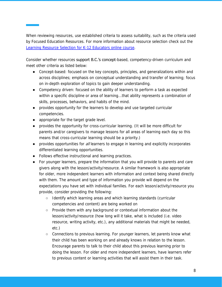When reviewing resources, use established criteria to assess suitability, such as the criteria used by Focused Education Resources. For more information about resource selection check out the [Learning Resource Selection for K-12 Educators online course.](https://bcerac.ca/learning-resource-selection-course/)

Consider whether resources support B.C.'s concept-based, competency-driven curriculum and meet other criteria as listed below:

- Concept-based: focused on the key concepts, principles, and generalizations within and across disciplines; emphasis on conceptual understanding and transfer of learning; focus on in-depth exploration of topics to gain deeper understanding.
- Competency driven: focused on the ability of learners to perform a task as expected within a specific discipline or area of learning...that ability represents a combination of skills, processes, behaviors, and habits of the mind.
- provides opportunity for the learners to develop and use targeted curricular competencies.
- appropriate for the target grade level.
- provides the opportunity for cross-curricular learning. (It will be more difficult for parents and/or caregivers to manage lessons for all areas of learning each day so this means that cross-curricular learning should be a priority.)
- provides opportunities for all learners to engage in learning and explicitly incorporates differentiated learning opportunities.
- Follows effective instructional and learning practices.
- For younger learners, prepare the information that you will provide to parents and care givers along with the lesson/activity/resource. A similar framework is also appropriate for older, more independent learners with information and context being shared directly with them. The amount and type of information you provide will depend on the expectations you have set with individual families. For each lesson/activity/resource you provide, consider providing the following:
	- Identify which learning areas and which learning standards (curricular competencies and content) are being worked on
	- Provide them with any background or contextual information about the lesson/activity/resource (how long will it take, what is included (i.e. video resource, writing activity, etc.), any additional materials that might be needed, etc.)
	- Connections to previous learning. For younger learners, let parents know what their child has been working on and already knows in relation to the lesson. Encourage parents to talk to their child about this previous learning prior to doing the lesson. For older and more independent learners, have learners refer to previous content or learning activities that will assist them in their task.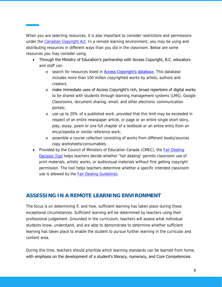When you are selecting resources, it is also important to consider restrictions and permissions under the [Canadian Copyright Act.](https://laws-lois.justice.gc.ca/eng/acts/C-42/Index.html) In a remote learning environment, you may be using and distributing resources in different ways than you did in the classroom. Below are some resources you may consider using.

- Through the Ministry of Education's partnership with Access Copyright, B.C. educators and staff can:
	- o search for resources listed in **[Access Copyright's datab](https://portal.accesscopyright.ca/cportal/licences/EPWorkSearch.aspx)**ase. This database includes more than 100 million copyrighted works by artists, authors and creators.
	- o make immediate uses of Access Copyright's rich, broad repertoire of digital works to be shared with students through learning management systems (LMS), Google Classrooms, document sharing, email, and other electronic communication portals;
	- o use up to 20% of a published work, provided that this limit may be exceeded in respect of an entire newspaper article, or page or an entire single short story, play, essay, poem or one full chapter of a textbook or an entire entry from an encyclopedia or similar reference work;
	- o assemble a course collection consisting of works from different books/sources copy worksheets/consumables.
- Provided by the Council of Ministers of Education Canada (CMEC), the [Fair Dealing](http://www.fairdealingdecisiontool.ca/)  [Decision Tool](http://www.fairdealingdecisiontool.ca/) helps teachers decide whether "fair dealing" permits classroom use of print materials, artistic works, or audiovisual materials without first getting copyright permission. The tool helps teachers determine whether a specific intended classroom use is allowed by the [Fair Dealing Guidelines.](http://www.fairdealingdecisiontool.ca/fdg/default.aspx)

# <span id="page-9-0"></span>**ASSESSING IN A REMOTE LEARNING ENVIRONMENT**

The focus is on determining if, and how, sufficient learning has taken place during these exceptional circumstances. Sufficient learning will be determined by teachers using their professional judgement. Grounded in the curriculum, teachers will assess what individual students know, understand, and are able to demonstrate to determine whether sufficient learning has taken place to enable the student to pursue further learning in the curricular and content area.

During this time, teachers should prioritize which learning standards can be learned from home, with emphasis on the development of a student's literacy, numeracy, and Core Competencies.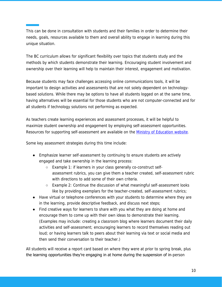This can be done in consultation with students and their families in order to determine their needs, goals, resources available to them and overall ability to engage in learning during this unique situation.

The BC curriculum allows for significant flexibility over topics that students study and the methods by which students demonstrate their learning. Encouraging student involvement and ownership over their learning will help to maintain their interest, engagement and motivation.

Because students may face challenges accessing online communications tools, it will be important to design activities and assessments that are not solely dependent on technologybased solutions. While there may be options to have all students logged on at the same time, having alternatives will be essential for those students who are not computer-connected and for all students if technology solutions not performing as expected.

As teachers create learning experiences and assessment processes, it will be helpful to maximize student ownership and engagement by employing self-assessment opportunities. Resources for supporting self-assessment are available on the Ministry [of Education](https://curriculum.gov.bc.ca/sites/curriculum.gov.bc.ca/files/pdf/developing-and-supporting-student-reflection-and-self-assessment-of-the-core-competencies.pdf) website.

Some key assessment strategies during this time include:

- Emphasize learner self-assessment by continuing to ensure students are actively engaged and take ownership in the learning process:
	- Example 1: if learners in your class generally co-construct selfassessment rubrics, you can give them a teacher created, self-assessment rubric with directions to add some of their own criteria.
	- Example 2: Continue the discussion of what meaningful self-assessment looks like by providing exemplars for the teacher-created, self-assessment rubrics;
- Have virtual or telephone conferences with your students to determine where they are in the learning, provide descriptive feedback, and discuss next steps;
- Find creative ways for learners to share with you what they are doing at home and encourage them to come up with their own ideas to demonstrate their learning. (Examples may include: creating a classroom blog where learners document their daily activities and self-assessment; encouraging learners to record themselves reading out loud; or having learners talk to peers about their learning via text or social media and then send their conversation to their teacher.)

All students will receive a report card based on where they were at prior to spring break, plus the learning opportunities they're engaging in at home during the suspension of in-person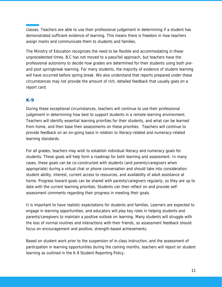classes. Teachers are able to use their professional judgement in determining if a student has demonstrated sufficient evidence of learning. This means there is freedom in how teachers assign marks and communicate them to students and families.

The Ministry of Education recognizes the need to be flexible and accommodating in these unprecedented times. B.C has not moved to a pass/fail approach, but teachers have the professional autonomy to decide how grades are determined for their students using both preand post springbreak learning. For many students, the majority of evidence of student learning will have occurred before spring break. We also understand that reports prepared under these circumstances may not provide the amount of rich, detailed feedback that usually goes on a report card.

#### <span id="page-11-0"></span>**K-9**

During these exceptional circumstances, teachers will continue to use their professional judgement in determining how best to support students in a remote learning environment. Teachers will identify essential learning priorities for their students, and what can be learned from home, and then base their assessments on these priorities. Teachers will continue to provide feedback on an on-going basis in relation to literacy-related and numeracy-related learning standards.

For all grades, teachers may wish to establish individual literacy and numeracy goals for students. These goals will help form a roadmap for both learning and assessment. In many cases, these goals can be co-constructed with students (and parents/caregivers when appropriate) during a virtual chat or phone conversation and should take into consideration student ability, interest, current access to resources, and availability of adult assistance at home. Progress toward goals can be shared with parents/caregivers regularly, so they are up to date with the current learning priorities. Students can then reflect on and provide selfassessment comments regarding their progress in meeting their goals.

It is important to have realistic expectations for students and families. Learners are expected to engage in learning opportunities, and educators will play key roles in helping students and parents/caregivers to maintain a positive outlook on learning. Many students will struggle with the loss of normal routines and interactions with their friends, so assessment feedback should focus on encouragement and positive, strength-based achievements.

Based on student work prior to the suspension of in-class instruction, and the assessment of participation in learning opportunities during the coming months, teachers will report on student learning as outlined in the K-9 Student Reporting Policy.